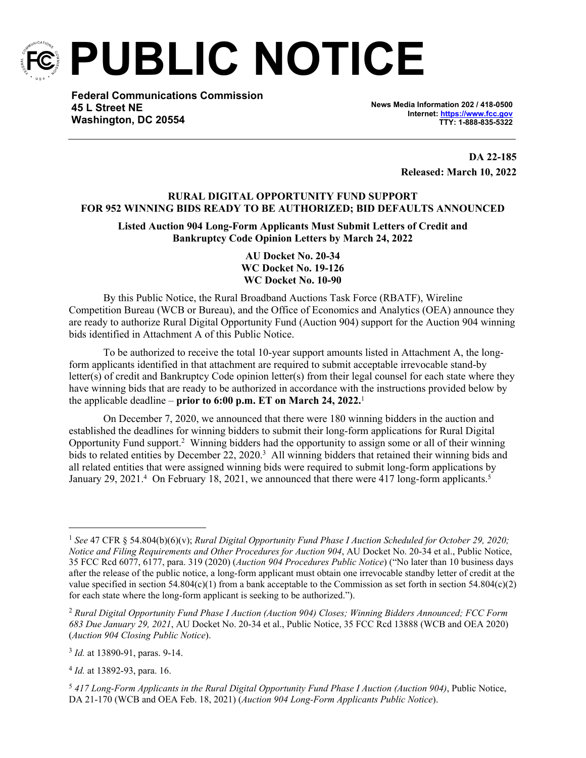

**PUBLIC NOTICE**

**Federal Communications Commission 45 L Street NE Washington, DC 20554**

**News Media Information 202 / 418-0500 Internet:<https://www.fcc.gov> TTY: 1-888-835-5322**

> **DA 22-185 Released: March 10, 2022**

# **RURAL DIGITAL OPPORTUNITY FUND SUPPORT FOR 952 WINNING BIDS READY TO BE AUTHORIZED; BID DEFAULTS ANNOUNCED**

**Listed Auction 904 Long-Form Applicants Must Submit Letters of Credit and Bankruptcy Code Opinion Letters by March 24, 2022**

> **AU Docket No. 20-34 WC Docket No. 19-126 WC Docket No. 10-90**

By this Public Notice, the Rural Broadband Auctions Task Force (RBATF), Wireline Competition Bureau (WCB or Bureau), and the Office of Economics and Analytics (OEA) announce they are ready to authorize Rural Digital Opportunity Fund (Auction 904) support for the Auction 904 winning bids identified in Attachment A of this Public Notice.

To be authorized to receive the total 10-year support amounts listed in Attachment A, the longform applicants identified in that attachment are required to submit acceptable irrevocable stand-by letter(s) of credit and Bankruptcy Code opinion letter(s) from their legal counsel for each state where they have winning bids that are ready to be authorized in accordance with the instructions provided below by the applicable deadline – **prior to 6:00 p.m. ET on March 24, 2022.**<sup>1</sup>

On December 7, 2020, we announced that there were 180 winning bidders in the auction and established the deadlines for winning bidders to submit their long-form applications for Rural Digital Opportunity Fund support.<sup>2</sup> Winning bidders had the opportunity to assign some or all of their winning bids to related entities by December 22, 2020.<sup>3</sup> All winning bidders that retained their winning bids and all related entities that were assigned winning bids were required to submit long-form applications by January 29, 2021.<sup>4</sup> On February 18, 2021, we announced that there were 417 long-form applicants.<sup>5</sup>

3 *Id.* at 13890-91, paras. 9-14.

4 *Id.* at 13892-93, para. 16.

<sup>5</sup> *417 Long-Form Applicants in the Rural Digital Opportunity Fund Phase I Auction (Auction 904)*, Public Notice, DA 21-170 (WCB and OEA Feb. 18, 2021) (*Auction 904 Long-Form Applicants Public Notice*).

<sup>1</sup> *See* 47 CFR § 54.804(b)(6)(v); *Rural Digital Opportunity Fund Phase I Auction Scheduled for October 29, 2020; Notice and Filing Requirements and Other Procedures for Auction 904*, AU Docket No. 20-34 et al., Public Notice, 35 FCC Rcd 6077, 6177, para. 319 (2020) (*Auction 904 Procedures Public Notice*) ("No later than 10 business days after the release of the public notice, a long-form applicant must obtain one irrevocable standby letter of credit at the value specified in section 54.804(c)(1) from a bank acceptable to the Commission as set forth in section 54.804(c)(2) for each state where the long-form applicant is seeking to be authorized.").

<sup>2</sup> *Rural Digital Opportunity Fund Phase I Auction (Auction 904) Closes; Winning Bidders Announced; FCC Form 683 Due January 29, 2021*, AU Docket No. 20-34 et al., Public Notice, 35 FCC Rcd 13888 (WCB and OEA 2020) (*Auction 904 Closing Public Notice*).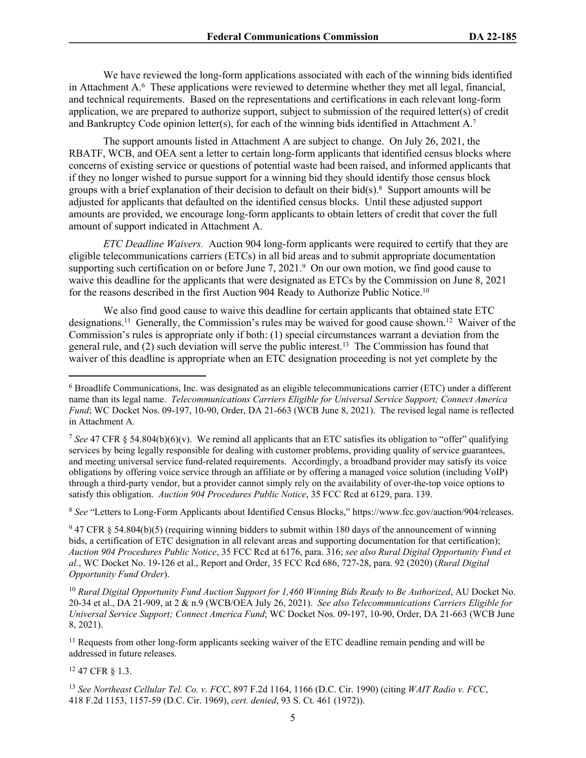We have reviewed the long-form applications associated with each of the winning bids identified in Attachment A.<sup>6</sup> These applications were reviewed to determine whether they met all legal, financial, and technical requirements. Based on the representations and certifications in each relevant long-form application, we are prepared to authorize support, subject to submission of the required letter(s) of credit and Bankruptcy Code opinion letter(s), for each of the winning bids identified in Attachment A.<sup>7</sup>

<span id="page-1-0"></span>The support amounts listed in Attachment A are subject to change. On July 26, 2021, the RBATF, WCB, and OEA sent a letter to certain long-form applicants that identified census blocks where concerns of existing service or questions of potential waste had been raised, and informed applicants that if they no longer wished to pursue support for a winning bid they should identify those census block groups with a brief explanation of their decision to default on their bid $(s)$ .<sup>8</sup> Support amounts will be adjusted for applicants that defaulted on the identified census blocks. Until these adjusted support amounts are provided, we encourage long-form applicants to obtain letters of credit that cover the full amount of support indicated in Attachment A.

*ETC Deadline Waivers.* Auction 904 long-form applicants were required to certify that they are eligible telecommunications carriers (ETCs) in all bid areas and to submit appropriate documentation supporting such certification on or before June 7, 2021.<sup>9</sup> On our own motion, we find good cause to waive this deadline for the applicants that were designated as ETCs by the Commission on June 8, 2021 for the reasons described in the first Auction 904 Ready to Authorize Public Notice.<sup>10</sup>

We also find good cause to waive this deadline for certain applicants that obtained state ETC designations.<sup>11</sup> Generally, the Commission's rules may be waived for good cause shown.<sup>12</sup> Waiver of the Commission's rules is appropriate only if both: (1) special circumstances warrant a deviation from the general rule, and (2) such deviation will serve the public interest.<sup>13</sup> The Commission has found that waiver of this deadline is appropriate when an ETC designation proceeding is not yet complete by the

<sup>8</sup> *See* "Letters to Long-Form Applicants about Identified Census Blocks," https://www.fcc.gov/auction/904/releases.

 $947$  CFR § 54.804(b)(5) (requiring winning bidders to submit within 180 days of the announcement of winning bids, a certification of ETC designation in all relevant areas and supporting documentation for that certification); *Auction 904 Procedures Public Notice*, 35 FCC Rcd at 6176, para. 316; *see also Rural Digital Opportunity Fund et al.*, WC Docket No. 19-126 et al., Report and Order, 35 FCC Rcd 686, 727-28, para. 92 (2020) (*Rural Digital Opportunity Fund Order*).

<sup>11</sup> Requests from other long-form applicants seeking waiver of the ETC deadline remain pending and will be addressed in future releases.

<sup>12</sup> 47 CFR § 1.3.

<sup>13</sup> *See Northeast Cellular Tel. Co. v. FCC*, 897 F.2d 1164, 1166 (D.C. Cir. 1990) (citing *WAIT Radio v. FCC*, 418 F.2d 1153, 1157-59 (D.C. Cir. 1969), *cert. denied*, 93 S. Ct. 461 (1972)).

<sup>&</sup>lt;sup>6</sup> Broadlife Communications, Inc. was designated as an eligible telecommunications carrier (ETC) under a different name than its legal name. *Telecommunications Carriers Eligible for Universal Service Support; Connect America Fund*; WC Docket Nos. 09-197, 10-90, Order, DA 21-663 (WCB June 8, 2021). The revised legal name is reflected in Attachment A.

<sup>7</sup> *See* 47 CFR § 54.804(b)(6)(v). We remind all applicants that an ETC satisfies its obligation to "offer" qualifying services by being legally responsible for dealing with customer problems, providing quality of service guarantees, and meeting universal service fund-related requirements. Accordingly, a broadband provider may satisfy its voice obligations by offering voice service through an affiliate or by offering a managed voice solution (including VoIP) through a third-party vendor, but a provider cannot simply rely on the availability of over-the-top voice options to satisfy this obligation. *Auction 904 Procedures Public Notice*, 35 FCC Rcd at 6129, para. 139.

<sup>10</sup> *Rural Digital Opportunity Fund Auction Support for 1,460 Winning Bids Ready to Be Authorized*, AU Docket No. 20-34 et al., DA 21-909, at 2 & n.9 (WCB/OEA July 26, 2021). *See also Telecommunications Carriers Eligible for Universal Service Support; Connect America Fund*; WC Docket Nos. 09-197, 10-90, Order, DA 21-663 (WCB June 8, 2021).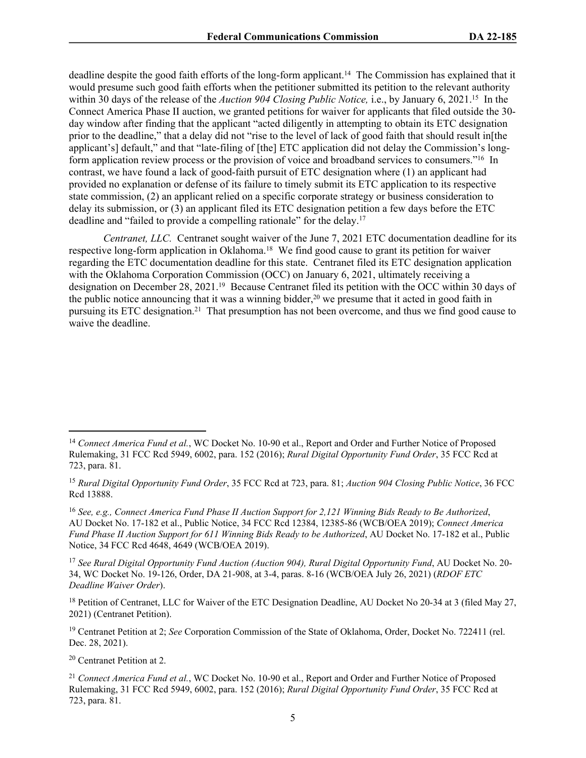deadline despite the good faith efforts of the long-form applicant.<sup>14</sup> The Commission has explained that it would presume such good faith efforts when the petitioner submitted its petition to the relevant authority within 30 days of the release of the *Auction 904 Closing Public Notice,* i.e., by January 6, 2021.<sup>15</sup> In the Connect America Phase II auction, we granted petitions for waiver for applicants that filed outside the 30 day window after finding that the applicant "acted diligently in attempting to obtain its ETC designation prior to the deadline," that a delay did not "rise to the level of lack of good faith that should result in[the applicant's] default," and that "late-filing of [the] ETC application did not delay the Commission's longform application review process or the provision of voice and broadband services to consumers."<sup>16</sup> In contrast, we have found a lack of good-faith pursuit of ETC designation where (1) an applicant had provided no explanation or defense of its failure to timely submit its ETC application to its respective state commission, (2) an applicant relied on a specific corporate strategy or business consideration to delay its submission, or (3) an applicant filed its ETC designation petition a few days before the ETC deadline and "failed to provide a compelling rationale" for the delay.<sup>17</sup>

*Centranet, LLC.* Centranet sought waiver of the June 7, 2021 ETC documentation deadline for its respective long-form application in Oklahoma.<sup>18</sup> We find good cause to grant its petition for waiver regarding the ETC documentation deadline for this state. Centranet filed its ETC designation application with the Oklahoma Corporation Commission (OCC) on January 6, 2021, ultimately receiving a designation on December 28, 2021.<sup>19</sup> Because Centranet filed its petition with the OCC within 30 days of the public notice announcing that it was a winning bidder,<sup>20</sup> we presume that it acted in good faith in pursuing its ETC designation.<sup>21</sup> That presumption has not been overcome, and thus we find good cause to waive the deadline.

<sup>18</sup> Petition of Centranet, LLC for Waiver of the ETC Designation Deadline, AU Docket No 20-34 at 3 (filed May 27, 2021) (Centranet Petition).

<sup>19</sup> Centranet Petition at 2; *See* Corporation Commission of the State of Oklahoma, Order, Docket No. 722411 (rel. Dec. 28, 2021).

<sup>20</sup> Centranet Petition at 2.

<sup>&</sup>lt;sup>14</sup> Connect America Fund et al., WC Docket No. 10-90 et al., Report and Order and Further Notice of Proposed Rulemaking, 31 FCC Rcd 5949, 6002, para. 152 (2016); *Rural Digital Opportunity Fund Order*, 35 FCC Rcd at 723, para. 81.

<sup>15</sup> *Rural Digital Opportunity Fund Order*, 35 FCC Rcd at 723, para. 81; *Auction 904 Closing Public Notice*, 36 FCC Rcd 13888.

<sup>16</sup> *See, e.g., Connect America Fund Phase II Auction Support for 2,121 Winning Bids Ready to Be Authorized*, AU Docket No. 17-182 et al., Public Notice, 34 FCC Rcd 12384, 12385-86 (WCB/OEA 2019); *Connect America Fund Phase II Auction Support for 611 Winning Bids Ready to be Authorized*, AU Docket No. 17-182 et al., Public Notice, 34 FCC Rcd 4648, 4649 (WCB/OEA 2019).

<sup>17</sup> *See Rural Digital Opportunity Fund Auction (Auction 904), Rural Digital Opportunity Fund*, AU Docket No. 20- 34, WC Docket No. 19-126, Order, DA 21-908, at 3-4, paras. 8-16 (WCB/OEA July 26, 2021) (*RDOF ETC Deadline Waiver Order*).

<sup>21</sup> *Connect America Fund et al.*, WC Docket No. 10-90 et al., Report and Order and Further Notice of Proposed Rulemaking, 31 FCC Rcd 5949, 6002, para. 152 (2016); *Rural Digital Opportunity Fund Order*, 35 FCC Rcd at 723, para. 81.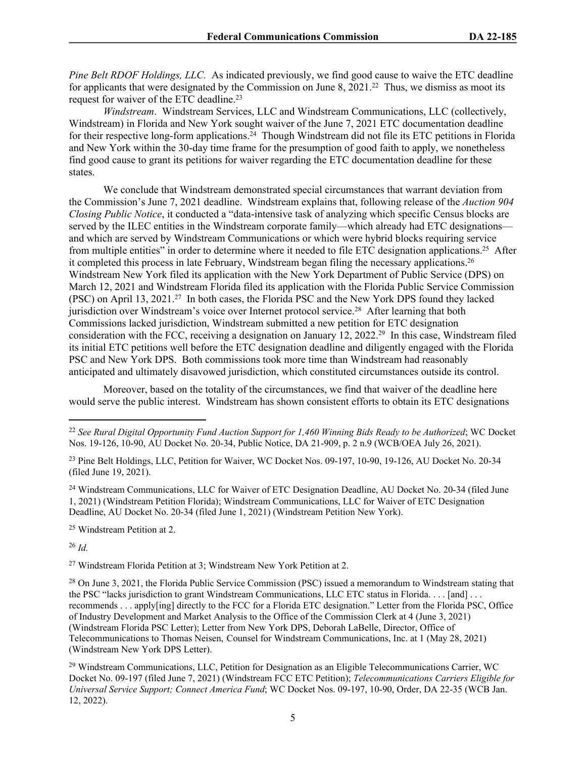*Pine Belt RDOF Holdings, LLC.* As indicated previously, we find good cause to waive the ETC deadline for applicants that were designated by the Commission on June 8, 2021.<sup>22</sup> Thus, we dismiss as moot its request for waiver of the ETC deadline.<sup>23</sup>

*Windstream*. Windstream Services, LLC and Windstream Communications, LLC (collectively, Windstream) in Florida and New York sought waiver of the June 7, 2021 ETC documentation deadline for their respective long-form applications.<sup>24</sup> Though Windstream did not file its ETC petitions in Florida and New York within the 30-day time frame for the presumption of good faith to apply, we nonetheless find good cause to grant its petitions for waiver regarding the ETC documentation deadline for these states.

We conclude that Windstream demonstrated special circumstances that warrant deviation from the Commission's June 7, 2021 deadline. Windstream explains that, following release of the *Auction 904 Closing Public Notice*, it conducted a "data-intensive task of analyzing which specific Census blocks are served by the ILEC entities in the Windstream corporate family—which already had ETC designations and which are served by Windstream Communications or which were hybrid blocks requiring service from multiple entities" in order to determine where it needed to file ETC designation applications.<sup>25</sup> After it completed this process in late February, Windstream began filing the necessary applications.<sup>26</sup> Windstream New York filed its application with the New York Department of Public Service (DPS) on March 12, 2021 and Windstream Florida filed its application with the Florida Public Service Commission (PSC) on April 13, 2021.<sup>27</sup> In both cases, the Florida PSC and the New York DPS found they lacked jurisdiction over Windstream's voice over Internet protocol service.<sup>28</sup> After learning that both Commissions lacked jurisdiction, Windstream submitted a new petition for ETC designation consideration with the FCC, receiving a designation on January 12, 2022.<sup>29</sup> In this case, Windstream filed its initial ETC petitions well before the ETC designation deadline and diligently engaged with the Florida PSC and New York DPS. Both commissions took more time than Windstream had reasonably anticipated and ultimately disavowed jurisdiction, which constituted circumstances outside its control.

Moreover, based on the totality of the circumstances, we find that waiver of the deadline here would serve the public interest. Windstream has shown consistent efforts to obtain its ETC designations

<sup>24</sup> Windstream Communications, LLC for Waiver of ETC Designation Deadline, AU Docket No. 20-34 (filed June 1, 2021) (Windstream Petition Florida); Windstream Communications, LLC for Waiver of ETC Designation Deadline, AU Docket No. 20-34 (filed June 1, 2021) (Windstream Petition New York).

<sup>25</sup> Windstream Petition at 2.

<sup>26</sup> *Id.*

<sup>27</sup> Windstream Florida Petition at 3; Windstream New York Petition at 2.

<sup>22</sup> *See Rural Digital Opportunity Fund Auction Support for 1,460 Winning Bids Ready to be Authorized*; WC Docket Nos. 19-126, 10-90, AU Docket No. 20-34, Public Notice, DA 21-909, p. 2 n.9 (WCB/OEA July 26, 2021).

<sup>&</sup>lt;sup>23</sup> Pine Belt Holdings, LLC, Petition for Waiver, WC Docket Nos. 09-197, 10-90, 19-126, AU Docket No. 20-34 (filed June 19, 2021).

<sup>&</sup>lt;sup>28</sup> On June 3, 2021, the Florida Public Service Commission (PSC) issued a memorandum to Windstream stating that the PSC "lacks jurisdiction to grant Windstream Communications, LLC ETC status in Florida. . . . [and] . . . recommends . . . apply[ing] directly to the FCC for a Florida ETC designation." Letter from the Florida PSC, Office of Industry Development and Market Analysis to the Office of the Commission Clerk at 4 (June 3, 2021) (Windstream Florida PSC Letter); Letter from New York DPS, Deborah LaBelle, Director, Office of Telecommunications to Thomas Neisen, Counsel for Windstream Communications, Inc. at 1 (May 28, 2021) (Windstream New York DPS Letter).

<sup>29</sup> Windstream Communications, LLC, Petition for Designation as an Eligible Telecommunications Carrier, WC Docket No. 09-197 (filed June 7, 2021) (Windstream FCC ETC Petition); *Telecommunications Carriers Eligible for Universal Service Support; Connect America Fund*; WC Docket Nos. 09-197, 10-90, Order, DA 22-35 (WCB Jan. 12, 2022).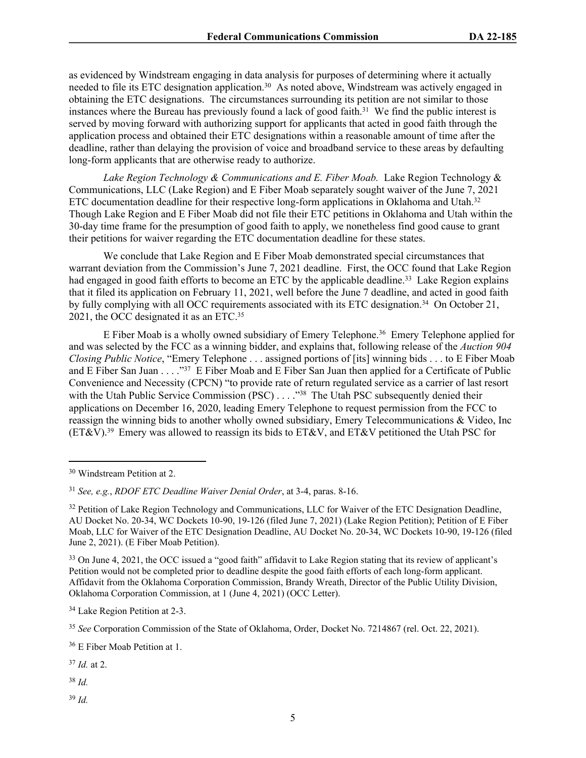as evidenced by Windstream engaging in data analysis for purposes of determining where it actually needed to file its ETC designation application.<sup>30</sup> As noted above, Windstream was actively engaged in obtaining the ETC designations. The circumstances surrounding its petition are not similar to those instances where the Bureau has previously found a lack of good faith.<sup>31</sup> We find the public interest is served by moving forward with authorizing support for applicants that acted in good faith through the application process and obtained their ETC designations within a reasonable amount of time after the deadline, rather than delaying the provision of voice and broadband service to these areas by defaulting long-form applicants that are otherwise ready to authorize.

Lake Region Technology & Communications and E. Fiber Moab. Lake Region Technology & Communications, LLC (Lake Region) and E Fiber Moab separately sought waiver of the June 7, 2021 ETC documentation deadline for their respective long-form applications in Oklahoma and Utah.<sup>32</sup> Though Lake Region and E Fiber Moab did not file their ETC petitions in Oklahoma and Utah within the 30-day time frame for the presumption of good faith to apply, we nonetheless find good cause to grant their petitions for waiver regarding the ETC documentation deadline for these states.

We conclude that Lake Region and E Fiber Moab demonstrated special circumstances that warrant deviation from the Commission's June 7, 2021 deadline. First, the OCC found that Lake Region had engaged in good faith efforts to become an ETC by the applicable deadline.<sup>33</sup> Lake Region explains that it filed its application on February 11, 2021, well before the June 7 deadline, and acted in good faith by fully complying with all OCC requirements associated with its ETC designation.<sup>34</sup> On October 21, 2021, the OCC designated it as an ETC.<sup>35</sup>

E Fiber Moab is a wholly owned subsidiary of Emery Telephone.<sup>36</sup> Emery Telephone applied for and was selected by the FCC as a winning bidder, and explains that, following release of the *Auction 904 Closing Public Notice*, "Emery Telephone . . . assigned portions of [its] winning bids . . . to E Fiber Moab and E Fiber San Juan . . . ."<sup>37</sup> E Fiber Moab and E Fiber San Juan then applied for a Certificate of Public Convenience and Necessity (CPCN) "to provide rate of return regulated service as a carrier of last resort with the Utah Public Service Commission (PSC) . . . . "<sup>38</sup> The Utah PSC subsequently denied their applications on December 16, 2020, leading Emery Telephone to request permission from the FCC to reassign the winning bids to another wholly owned subsidiary, Emery Telecommunications & Video, Inc  $(ET&V).<sup>39</sup>$  Emery was allowed to reassign its bids to  $ET&V$ , and  $ET&V$  petitioned the Utah PSC for

<sup>34</sup> Lake Region Petition at 2-3.

<sup>36</sup> E Fiber Moab Petition at 1.

<sup>37</sup> *Id.* at 2.

<sup>38</sup> *Id.*

<sup>39</sup> *Id.*

<sup>30</sup> Windstream Petition at 2.

<sup>31</sup> *See, e.g.*, *RDOF ETC Deadline Waiver Denial Order*, at 3-4, paras. 8-16.

<sup>&</sup>lt;sup>32</sup> Petition of Lake Region Technology and Communications, LLC for Waiver of the ETC Designation Deadline, AU Docket No. 20-34, WC Dockets 10-90, 19-126 (filed June 7, 2021) (Lake Region Petition); Petition of E Fiber Moab, LLC for Waiver of the ETC Designation Deadline, AU Docket No. 20-34, WC Dockets 10-90, 19-126 (filed June 2, 2021). (E Fiber Moab Petition).

<sup>&</sup>lt;sup>33</sup> On June 4, 2021, the OCC issued a "good faith" affidavit to Lake Region stating that its review of applicant's Petition would not be completed prior to deadline despite the good faith efforts of each long-form applicant. Affidavit from the Oklahoma Corporation Commission, Brandy Wreath, Director of the Public Utility Division, Oklahoma Corporation Commission, at 1 (June 4, 2021) (OCC Letter).

<sup>35</sup> *See* Corporation Commission of the State of Oklahoma, Order, Docket No. 7214867 (rel. Oct. 22, 2021).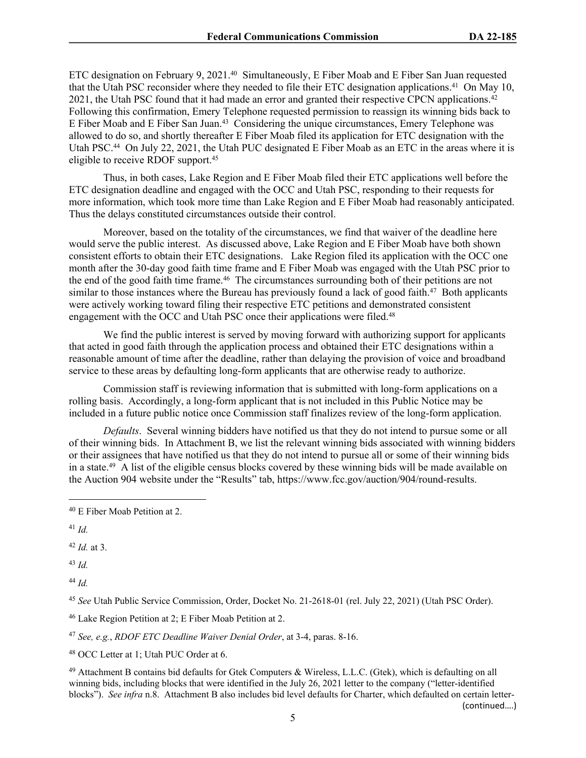ETC designation on February 9, 2021.<sup>40</sup> Simultaneously, E Fiber Moab and E Fiber San Juan requested that the Utah PSC reconsider where they needed to file their ETC designation applications.<sup>41</sup> On May 10, 2021, the Utah PSC found that it had made an error and granted their respective CPCN applications.<sup>42</sup> Following this confirmation, Emery Telephone requested permission to reassign its winning bids back to E Fiber Moab and E Fiber San Juan.<sup>43</sup> Considering the unique circumstances, Emery Telephone was allowed to do so, and shortly thereafter E Fiber Moab filed its application for ETC designation with the Utah PSC.<sup>44</sup> On July 22, 2021, the Utah PUC designated E Fiber Moab as an ETC in the areas where it is eligible to receive RDOF support.<sup>45</sup>

Thus, in both cases, Lake Region and E Fiber Moab filed their ETC applications well before the ETC designation deadline and engaged with the OCC and Utah PSC, responding to their requests for more information, which took more time than Lake Region and E Fiber Moab had reasonably anticipated. Thus the delays constituted circumstances outside their control.

Moreover, based on the totality of the circumstances, we find that waiver of the deadline here would serve the public interest. As discussed above, Lake Region and E Fiber Moab have both shown consistent efforts to obtain their ETC designations. Lake Region filed its application with the OCC one month after the 30-day good faith time frame and E Fiber Moab was engaged with the Utah PSC prior to the end of the good faith time frame.<sup>46</sup> The circumstances surrounding both of their petitions are not similar to those instances where the Bureau has previously found a lack of good faith.<sup>47</sup> Both applicants were actively working toward filing their respective ETC petitions and demonstrated consistent engagement with the OCC and Utah PSC once their applications were filed.<sup>48</sup>

We find the public interest is served by moving forward with authorizing support for applicants that acted in good faith through the application process and obtained their ETC designations within a reasonable amount of time after the deadline, rather than delaying the provision of voice and broadband service to these areas by defaulting long-form applicants that are otherwise ready to authorize.

Commission staff is reviewing information that is submitted with long-form applications on a rolling basis. Accordingly, a long-form applicant that is not included in this Public Notice may be included in a future public notice once Commission staff finalizes review of the long-form application.

*Defaults*. Several winning bidders have notified us that they do not intend to pursue some or all of their winning bids. In Attachment B, we list the relevant winning bids associated with winning bidders or their assignees that have notified us that they do not intend to pursue all or some of their winning bids in a state.<sup>49</sup> A list of the eligible census blocks covered by these winning bids will be made available on the Auction 904 website under the "Results" tab, https://www.fcc.gov/auction/904/round-results.

<sup>41</sup> *Id.*

<sup>42</sup> *Id.* at 3.

<sup>43</sup> *Id.*

<sup>44</sup> *Id.*

<sup>45</sup> *See* Utah Public Service Commission, Order, Docket No. 21-2618-01 (rel. July 22, 2021) (Utah PSC Order).

<sup>46</sup> Lake Region Petition at 2; E Fiber Moab Petition at 2.

<sup>47</sup> *See, e.g.*, *RDOF ETC Deadline Waiver Denial Order*, at 3-4, paras. 8-16.

<sup>48</sup> OCC Letter at 1; Utah PUC Order at 6.

<sup>49</sup> Attachment B contains bid defaults for Gtek Computers & Wireless, L.L.C. (Gtek), which is defaulting on all winning bids, including blocks that were identified in the July 26, 2021 letter to the company ("letter-identified blocks"). *See infra* n[.8](#page-1-0). Attachment B also includes bid level defaults for Charter, which defaulted on certain letter- (continued….)

<sup>40</sup> E Fiber Moab Petition at 2.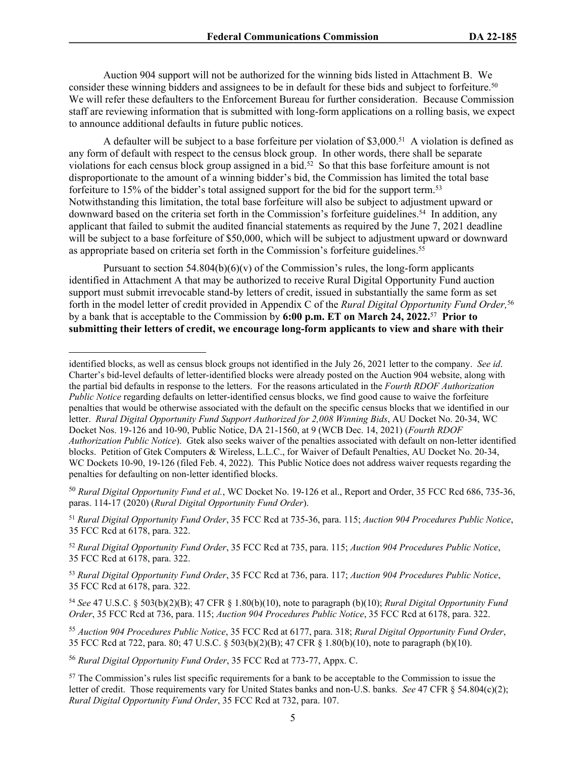Auction 904 support will not be authorized for the winning bids listed in Attachment B. We consider these winning bidders and assignees to be in default for these bids and subject to forfeiture.<sup>50</sup> We will refer these defaulters to the Enforcement Bureau for further consideration. Because Commission staff are reviewing information that is submitted with long-form applications on a rolling basis, we expect to announce additional defaults in future public notices.

A defaulter will be subject to a base forfeiture per violation of \$3,000.<sup>51</sup> A violation is defined as any form of default with respect to the census block group. In other words, there shall be separate violations for each census block group assigned in a bid.<sup>52</sup> So that this base forfeiture amount is not disproportionate to the amount of a winning bidder's bid, the Commission has limited the total base forfeiture to 15% of the bidder's total assigned support for the bid for the support term.<sup>53</sup> Notwithstanding this limitation, the total base forfeiture will also be subject to adjustment upward or downward based on the criteria set forth in the Commission's forfeiture guidelines.<sup>54</sup> In addition, any applicant that failed to submit the audited financial statements as required by the June 7, 2021 deadline will be subject to a base forfeiture of \$50,000, which will be subject to adjustment upward or downward as appropriate based on criteria set forth in the Commission's forfeiture guidelines.<sup>55</sup>

Pursuant to section  $54.804(b)(6)(v)$  of the Commission's rules, the long-form applicants identified in Attachment A that may be authorized to receive Rural Digital Opportunity Fund auction support must submit irrevocable stand-by letters of credit, issued in substantially the same form as set forth in the model letter of credit provided in Appendix C of the *Rural Digital Opportunity Fund Order,*<sup>56</sup> by a bank that is acceptable to the Commission by **6:00 p.m. ET on March 24, 2022.**<sup>57</sup> **Prior to submitting their letters of credit, we encourage long-form applicants to view and share with their** 

<sup>50</sup> *Rural Digital Opportunity Fund et al.*, WC Docket No. 19-126 et al., Report and Order, 35 FCC Rcd 686, 735-36, paras. 114-17 (2020) (*Rural Digital Opportunity Fund Order*).

<sup>51</sup> *Rural Digital Opportunity Fund Order*, 35 FCC Rcd at 735-36, para. 115; *Auction 904 Procedures Public Notice*, 35 FCC Rcd at 6178, para. 322.

<sup>52</sup> *Rural Digital Opportunity Fund Order*, 35 FCC Rcd at 735, para. 115; *Auction 904 Procedures Public Notice*, 35 FCC Rcd at 6178, para. 322.

<sup>53</sup> *Rural Digital Opportunity Fund Order*, 35 FCC Rcd at 736, para. 117; *Auction 904 Procedures Public Notice*, 35 FCC Rcd at 6178, para. 322.

<sup>54</sup> *See* 47 U.S.C. § 503(b)(2)(B); 47 CFR § 1.80(b)(10), note to paragraph (b)(10); *Rural Digital Opportunity Fund Order*, 35 FCC Rcd at 736, para. 115; *Auction 904 Procedures Public Notice*, 35 FCC Rcd at 6178, para. 322.

<sup>55</sup> *Auction 904 Procedures Public Notice*, 35 FCC Rcd at 6177, para. 318; *Rural Digital Opportunity Fund Order*, 35 FCC Rcd at 722, para. 80; 47 U.S.C. § 503(b)(2)(B); 47 CFR § 1.80(b)(10), note to paragraph (b)(10).

<sup>56</sup> *Rural Digital Opportunity Fund Order*, 35 FCC Rcd at 773-77, Appx. C.

<sup>57</sup> The Commission's rules list specific requirements for a bank to be acceptable to the Commission to issue the letter of credit. Those requirements vary for United States banks and non-U.S. banks. *See* 47 CFR § 54.804(c)(2); *Rural Digital Opportunity Fund Order*, 35 FCC Rcd at 732, para. 107.

identified blocks, as well as census block groups not identified in the July 26, 2021 letter to the company. *See id*. Charter's bid-level defaults of letter-identified blocks were already posted on the Auction 904 website, along with the partial bid defaults in response to the letters. For the reasons articulated in the *Fourth RDOF Authorization Public Notice* regarding defaults on letter-identified census blocks, we find good cause to waive the forfeiture penalties that would be otherwise associated with the default on the specific census blocks that we identified in our letter. *Rural Digital Opportunity Fund Support Authorized for 2,008 Winning Bids*, AU Docket No. 20-34, WC Docket Nos. 19-126 and 10-90, Public Notice, DA 21-1560, at 9 (WCB Dec. 14, 2021) (*Fourth RDOF Authorization Public Notice*). Gtek also seeks waiver of the penalties associated with default on non-letter identified blocks. Petition of Gtek Computers & Wireless, L.L.C., for Waiver of Default Penalties, AU Docket No. 20-34, WC Dockets 10-90, 19-126 (filed Feb. 4, 2022). This Public Notice does not address waiver requests regarding the penalties for defaulting on non-letter identified blocks.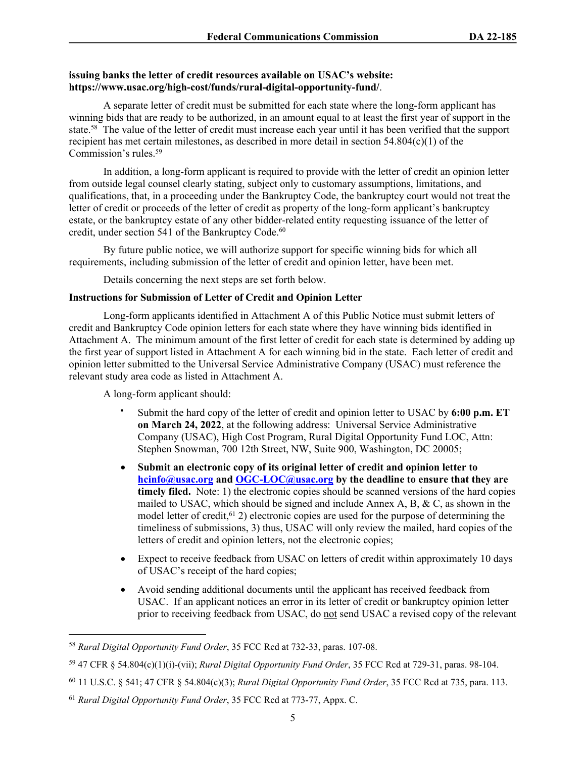# **issuing banks the letter of credit resources available on USAC's website: https://www.usac.org/high-cost/funds/rural-digital-opportunity-fund/**.

A separate letter of credit must be submitted for each state where the long-form applicant has winning bids that are ready to be authorized, in an amount equal to at least the first year of support in the state.<sup>58</sup> The value of the letter of credit must increase each year until it has been verified that the support recipient has met certain milestones, as described in more detail in section 54.804(c)(1) of the Commission's rules.<sup>59</sup>

In addition, a long-form applicant is required to provide with the letter of credit an opinion letter from outside legal counsel clearly stating, subject only to customary assumptions, limitations, and qualifications, that, in a proceeding under the Bankruptcy Code, the bankruptcy court would not treat the letter of credit or proceeds of the letter of credit as property of the long-form applicant's bankruptcy estate, or the bankruptcy estate of any other bidder-related entity requesting issuance of the letter of credit, under section 541 of the Bankruptcy Code.<sup>60</sup>

By future public notice, we will authorize support for specific winning bids for which all requirements, including submission of the letter of credit and opinion letter, have been met.

Details concerning the next steps are set forth below.

## **Instructions for Submission of Letter of Credit and Opinion Letter**

Long-form applicants identified in Attachment A of this Public Notice must submit letters of credit and Bankruptcy Code opinion letters for each state where they have winning bids identified in Attachment A. The minimum amount of the first letter of credit for each state is determined by adding up the first year of support listed in Attachment A for each winning bid in the state. Each letter of credit and opinion letter submitted to the Universal Service Administrative Company (USAC) must reference the relevant study area code as listed in Attachment A.

A long-form applicant should:

- Submit the hard copy of the letter of credit and opinion letter to USAC by **6:00 p.m. ET on March 24, 2022**, at the following address: Universal Service Administrative Company (USAC), High Cost Program, Rural Digital Opportunity Fund LOC, Attn: Stephen Snowman, 700 12th Street, NW, Suite 900, Washington, DC 20005;
- **Submit an electronic copy of its original letter of credit and opinion letter to [hcinfo@usac.org](mailto:hcinfo@usac.org) and [OGC-LOC@usac.org](mailto:OGC-LOC@usac.org) by the deadline to ensure that they are**  timely filed. Note: 1) the electronic copies should be scanned versions of the hard copies mailed to USAC, which should be signed and include Annex A, B,  $\&$  C, as shown in the model letter of credit,  $61$  2) electronic copies are used for the purpose of determining the timeliness of submissions, 3) thus, USAC will only review the mailed, hard copies of the letters of credit and opinion letters, not the electronic copies;
- Expect to receive feedback from USAC on letters of credit within approximately 10 days of USAC's receipt of the hard copies;
- Avoid sending additional documents until the applicant has received feedback from USAC. If an applicant notices an error in its letter of credit or bankruptcy opinion letter prior to receiving feedback from USAC, do not send USAC a revised copy of the relevant

<sup>58</sup> *Rural Digital Opportunity Fund Order*, 35 FCC Rcd at 732-33, paras. 107-08.

<sup>59</sup> 47 CFR § 54.804(c)(1)(i)-(vii); *Rural Digital Opportunity Fund Order*, 35 FCC Rcd at 729-31, paras. 98-104.

<sup>60</sup> 11 U.S.C. § 541; 47 CFR § 54.804(c)(3); *Rural Digital Opportunity Fund Order*, 35 FCC Rcd at 735, para. 113.

<sup>61</sup> *Rural Digital Opportunity Fund Order*, 35 FCC Rcd at 773-77, Appx. C.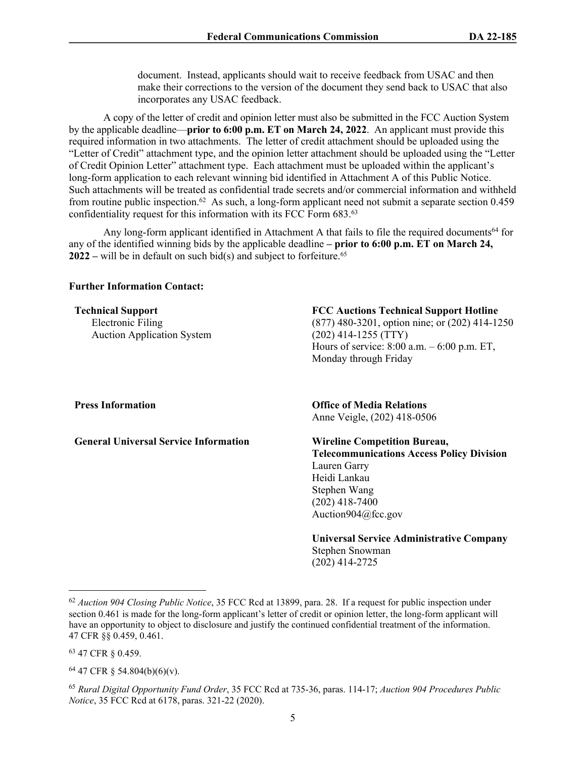document. Instead, applicants should wait to receive feedback from USAC and then make their corrections to the version of the document they send back to USAC that also incorporates any USAC feedback.

A copy of the letter of credit and opinion letter must also be submitted in the FCC Auction System by the applicable deadline—**prior to 6:00 p.m. ET on March 24, 2022**. An applicant must provide this required information in two attachments. The letter of credit attachment should be uploaded using the "Letter of Credit" attachment type, and the opinion letter attachment should be uploaded using the "Letter of Credit Opinion Letter" attachment type. Each attachment must be uploaded within the applicant's long-form application to each relevant winning bid identified in Attachment A of this Public Notice. Such attachments will be treated as confidential trade secrets and/or commercial information and withheld from routine public inspection.<sup>62</sup> As such, a long-form applicant need not submit a separate section 0.459 confidentiality request for this information with its FCC Form 683.<sup>63</sup>

Any long-form applicant identified in Attachment A that fails to file the required documents<sup>64</sup> for any of the identified winning bids by the applicable deadline **– prior to 6:00 p.m. ET on March 24, 2022** – will be in default on such bid(s) and subject to forfeiture.<sup>65</sup>

## **Further Information Contact:**

**Technical Support** Electronic Filing Auction Application System **FCC Auctions Technical Support Hotline**

(877) 480-3201, option nine; or (202) 414-1250 (202) 414-1255 (TTY) Hours of service: 8:00 a.m. – 6:00 p.m. ET, Monday through Friday

**General Universal Service Information Wireline Competition Bureau,**

### **Press Information Office of Media Relations** Anne Veigle, (202) 418-0506

**Telecommunications Access Policy Division** Lauren Garry Heidi Lankau Stephen Wang (202) 418-7400 Auction904@fcc.gov

**Universal Service Administrative Company** Stephen Snowman (202) 414-2725

<sup>63</sup> 47 CFR § 0.459.

<sup>64</sup> 47 CFR § 54.804(b)(6)(v).

<sup>65</sup> *Rural Digital Opportunity Fund Order*, 35 FCC Rcd at 735-36, paras. 114-17; *Auction 904 Procedures Public Notice*, 35 FCC Rcd at 6178, paras. 321-22 (2020).

<sup>62</sup> *Auction 904 Closing Public Notice*, 35 FCC Rcd at 13899, para. 28. If a request for public inspection under section 0.461 is made for the long-form applicant's letter of credit or opinion letter, the long-form applicant will have an opportunity to object to disclosure and justify the continued confidential treatment of the information. 47 CFR §§ 0.459, 0.461.